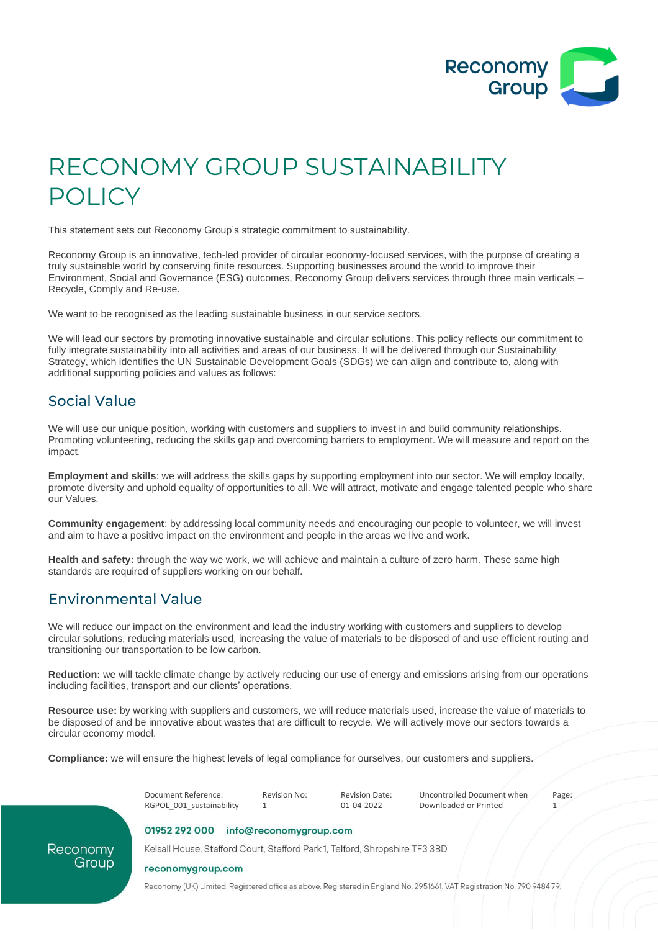

# RECONOMY GROUP SUSTAINABILITY POLICY

This statement sets out Reconomy Group's strategic commitment to sustainability.

Reconomy Group is an innovative, tech-led provider of circular economy-focused services, with the purpose of creating a truly sustainable world by conserving finite resources. Supporting businesses around the world to improve their Environment, Social and Governance (ESG) outcomes, Reconomy Group delivers services through three main verticals – Recycle, Comply and Re-use.

We want to be recognised as the leading sustainable business in our service sectors.

We will lead our sectors by promoting innovative sustainable and circular solutions. This policy reflects our commitment to fully integrate sustainability into all activities and areas of our business. It will be delivered through our Sustainability Strategy, which identifies the UN Sustainable Development Goals (SDGs) we can align and contribute to, along with additional supporting policies and values as follows:

### Social Value

We will use our unique position, working with customers and suppliers to invest in and build community relationships. Promoting volunteering, reducing the skills gap and overcoming barriers to employment. We will measure and report on the impact.

**Employment and skills**: we will address the skills gaps by supporting employment into our sector. We will employ locally, promote diversity and uphold equality of opportunities to all. We will attract, motivate and engage talented people who share our Values.

**Community engagement**: by addressing local community needs and encouraging our people to volunteer, we will invest and aim to have a positive impact on the environment and people in the areas we live and work.

**Health and safety:** through the way we work, we will achieve and maintain a culture of zero harm. These same high standards are required of suppliers working on our behalf.

## Environmental Value

We will reduce our impact on the environment and lead the industry working with customers and suppliers to develop circular solutions, reducing materials used, increasing the value of materials to be disposed of and use efficient routing and transitioning our transportation to be low carbon.

**Reduction:** we will tackle climate change by actively reducing our use of energy and emissions arising from our operations including facilities, transport and our clients' operations.

**Resource use:** by working with suppliers and customers, we will reduce materials used, increase the value of materials to be disposed of and be innovative about wastes that are difficult to recycle. We will actively move our sectors towards a circular economy model.

**Compliance:** we will ensure the highest levels of legal compliance for ourselves, our customers and suppliers.



Reconomy Group Kelsall House, Stafford Court, Stafford Park 1, Telford, Shropshire TF3 3BD

reconomygroup.com

Reconomy (UK) Limited. Registered office as above. Registered in England No. 2951661. VAT Registration No. 790 9484 79.